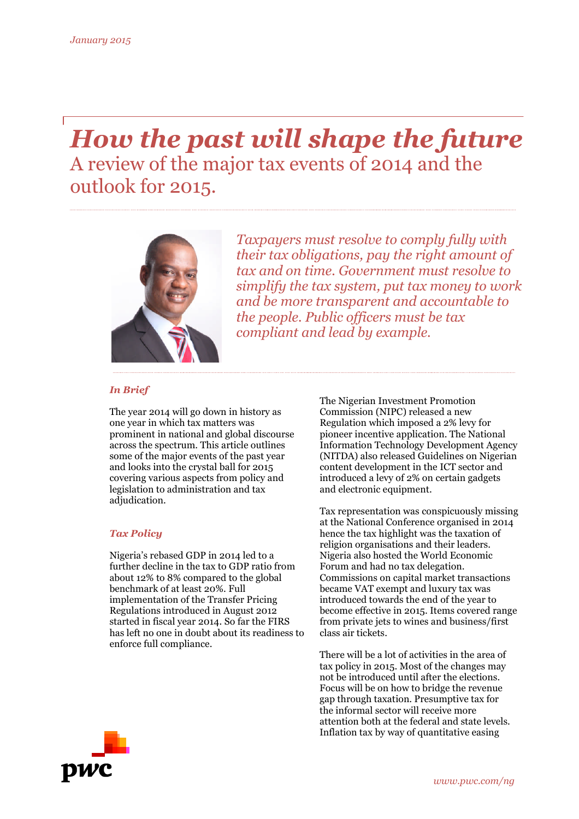# *How the past will shape the future* A review of the major tax events of 2014 and the outlook for 2015.



*Taxpayers must resolve to comply fully with their tax obligations, pay the right amount of tax and on time. Government must resolve to simplify the tax system, put tax money to work and be more transparent and accountable to the people. Public officers must be tax compliant and lead by example.*

## *In Brief*

The year 2014 will go down in history as one year in which tax matters was prominent in national and global discourse across the spectrum. This article outlines some of the major events of the past year and looks into the crystal ball for 2015 covering various aspects from policy and legislation to administration and tax adjudication.

### *Tax Policy*

Nigeria's rebased GDP in 2014 led to a further decline in the tax to GDP ratio from about 12% to 8% compared to the global benchmark of at least 20%. Full implementation of the Transfer Pricing Regulations introduced in August 2012 started in fiscal year 2014. So far the FIRS has left no one in doubt about its readiness to enforce full compliance.

The Nigerian Investment Promotion Commission (NIPC) released a new Regulation which imposed a 2% levy for pioneer incentive application. The National Information Technology Development Agency (NITDA) also released Guidelines on Nigerian content development in the ICT sector and introduced a levy of 2% on certain gadgets and electronic equipment.

Tax representation was conspicuously missing at the National Conference organised in 2014 hence the tax highlight was the taxation of religion organisations and their leaders. Nigeria also hosted the World Economic Forum and had no tax delegation. Commissions on capital market transactions became VAT exempt and luxury tax was introduced towards the end of the year to become effective in 2015. Items covered range from private jets to wines and business/first class air tickets.

There will be a lot of activities in the area of tax policy in 2015. Most of the changes may not be introduced until after the elections. Focus will be on how to bridge the revenue gap through taxation. Presumptive tax for the informal sector will receive more attention both at the federal and state levels. Inflation tax by way of quantitative easing

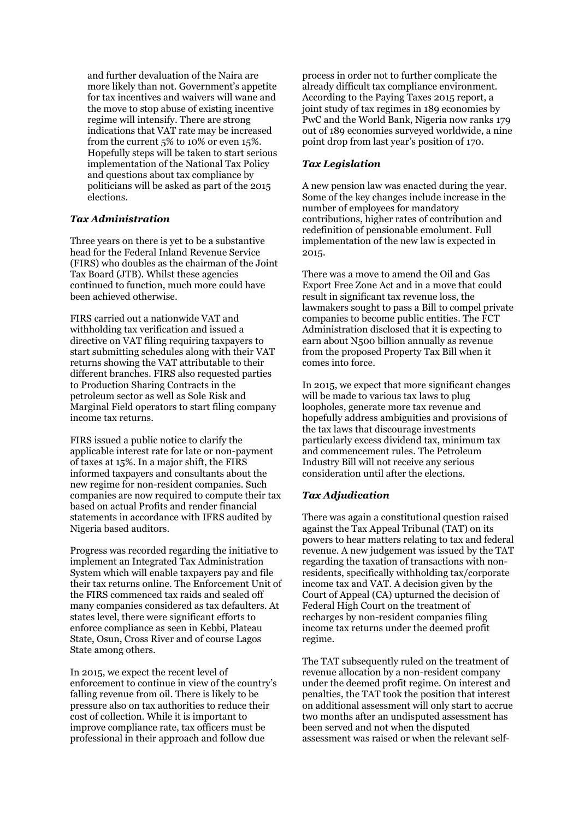and further devaluation of the Naira are more likely than not. Government's appetite for tax incentives and waivers will wane and the move to stop abuse of existing incentive regime will intensify. There are strong indications that VAT rate may be increased from the current 5% to 10% or even 15%. Hopefully steps will be taken to start serious implementation of the National Tax Policy and questions about tax compliance by politicians will be asked as part of the 2015 elections.

#### *Tax Administration*

Three years on there is yet to be a substantive head for the Federal Inland Revenue Service (FIRS) who doubles as the chairman of the Joint Tax Board (JTB). Whilst these agencies continued to function, much more could have been achieved otherwise.

FIRS carried out a nationwide VAT and withholding tax verification and issued a directive on VAT filing requiring taxpayers to start submitting schedules along with their VAT returns showing the VAT attributable to their different branches. FIRS also requested parties to Production Sharing Contracts in the petroleum sector as well as Sole Risk and Marginal Field operators to start filing company income tax returns.

FIRS issued a public notice to clarify the applicable interest rate for late or non-payment of taxes at 15%. In a major shift, the FIRS informed taxpayers and consultants about the new regime for non-resident companies. Such companies are now required to compute their tax based on actual Profits and render financial statements in accordance with IFRS audited by Nigeria based auditors.

Progress was recorded regarding the initiative to implement an Integrated Tax Administration System which will enable taxpayers pay and file their tax returns online. The Enforcement Unit of the FIRS commenced tax raids and sealed off many companies considered as tax defaulters. At states level, there were significant efforts to enforce compliance as seen in Kebbi, Plateau State, Osun, Cross River and of course Lagos State among others.

In 2015, we expect the recent level of enforcement to continue in view of the country's falling revenue from oil. There is likely to be pressure also on tax authorities to reduce their cost of collection. While it is important to improve compliance rate, tax officers must be professional in their approach and follow due

process in order not to further complicate the already difficult tax compliance environment. According to the Paying Taxes 2015 report, a joint study of tax regimes in 189 economies by PwC and the World Bank, Nigeria now ranks 179 out of 189 economies surveyed worldwide, a nine point drop from last year's position of 170.

#### *Tax Legislation*

A new pension law was enacted during the year. Some of the key changes include increase in the number of employees for mandatory contributions, higher rates of contribution and redefinition of pensionable emolument. Full implementation of the new law is expected in 2015.

There was a move to amend the Oil and Gas Export Free Zone Act and in a move that could result in significant tax revenue loss, the lawmakers sought to pass a Bill to compel private companies to become public entities. The FCT Administration disclosed that it is expecting to earn about N500 billion annually as revenue from the proposed Property Tax Bill when it comes into force.

In 2015, we expect that more significant changes will be made to various tax laws to plug loopholes, generate more tax revenue and hopefully address ambiguities and provisions of the tax laws that discourage investments particularly excess dividend tax, minimum tax and commencement rules. The Petroleum Industry Bill will not receive any serious consideration until after the elections.

#### *Tax Adjudication*

There was again a constitutional question raised against the Tax Appeal Tribunal (TAT) on its powers to hear matters relating to tax and federal revenue. A new judgement was issued by the TAT regarding the taxation of transactions with nonresidents, specifically withholding tax/corporate income tax and VAT. A decision given by the Court of Appeal (CA) upturned the decision of Federal High Court on the treatment of recharges by non-resident companies filing income tax returns under the deemed profit regime.

The TAT subsequently ruled on the treatment of revenue allocation by a non-resident company under the deemed profit regime. On interest and penalties, the TAT took the position that interest on additional assessment will only start to accrue two months after an undisputed assessment has been served and not when the disputed assessment was raised or when the relevant self